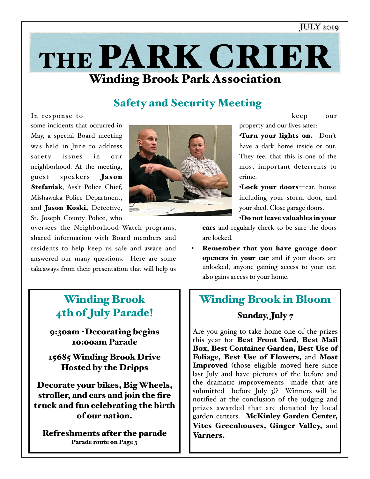### JULY 2019

keep our

# Winding Brook Park Association THE PARK CRIER

## Safety and Security Meeting

In response to some incidents that occurred in May, a special Board meeting was held in June to address safety issues in our neighborhood. At the meeting, guest speakers **Jason** Stefaniak, Ass't Police Chief, Mishawaka Police Department, and Jason Koski, Detective, St. Joseph County Police, who



oversees the Neighborhood Watch programs, shared information with Board members and residents to help keep us safe and aware and answered our many questions. Here are some takeaways from their presentation that will help us

## Winding Brook 4th of July Parade!

9:30am -Decorating begins 10:00am Parade

15685 Winding Brook Drive Hosted by the Dripps

Decorate your bikes, Big Wheels, stroller, and cars and join the fire truck and fun celebrating the birth of our nation.

Refreshments after the parade Parade route on Page 3

property and our lives safer: •Turn your lights on. Don't

have a dark home inside or out. They feel that this is one of the most important deterrents to crime.

•Lock your doors—car, house including your storm door, and your shed. Close garage doors.

•Do not leave valuables in your

cars and regularly check to be sure the doors are locked.

Remember that you have garage door openers in your car and if your doors are unlocked, anyone gaining access to your car, also gains access to your home.

## Winding Brook in Bloom

### Sunday, July 7

Are you going to take home one of the prizes this year for Best Front Yard, Best Mail Box, Best Container Garden, Best Use of Foliage, Best Use of Flowers, and Most Improved (those eligible moved here since last July and have pictures of the before and the dramatic improvements made that are submitted before July 3)? Winners will be notified at the conclusion of the judging and prizes awarded that are donated by local garden centers. McKinley Garden Center, Vites Greenhouses, Ginger Valley, and Varners.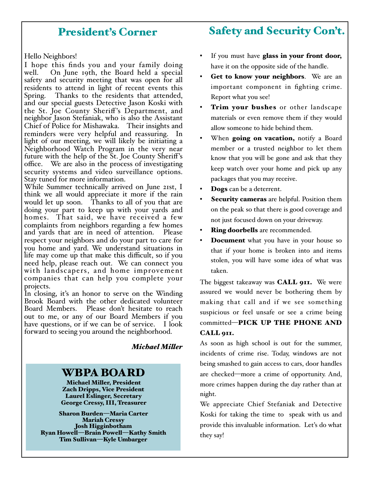## President's Corner

### Hello Neighbors!

I hope this finds you and your family doing well. On June 19th, the Board held a special safety and security meeting that was open for all residents to attend in light of recent events this Spring. Thanks to the residents that attended, and our special guests Detective Jason Koski with the St. Joe County Sheriff's Department, and neighbor Jason Stefaniak, who is also the Assistant Chief of Police for Mishawaka. Their insights and reminders were very helpful and reassuring. In light of our meeting, we will likely be initiating a Neighborhood Watch Program in the very near future with the help of the St. Joe County Sheriff's office. We are also in the process of investigating security systems and video surveillance options. Stay tuned for more information.

While Summer technically arrived on June 21st, I think we all would appreciate it more if the rain would let up soon. Thanks to all of you that are doing your part to keep up with your yards and homes. That said, we have received a few complaints from neighbors regarding a few homes and yards that are in need of attention. respect your neighbors and do your part to care for you home and yard. We understand situations in life may come up that make this difficult, so if you need help, please reach out. We can connect you with landscapers, and home improvement companies that can help you complete your projects.

In closing, it's an honor to serve on the Winding Brook Board with the other dedicated volunteer<br>Board Members. Please don't hesitate to reach Please don't hesitate to reach out to me, or any of our Board Members if you have questions, or if we can be of service. I look forward to seeing you around the neighborhood.

### *Michael Miler*

### WBPA BOARD

Michael Miller, President Zach Dripps, Vice President Laurel Eslinger, Secretary George Cressy, III, Treasurer

Sharon Burden—Maria Carter Josh Higginbotham Ryan Howell—Brain Powell—Kathy Smith Tim Sullivan—Kyle Umbarger

## Safety and Security Con't.

- If you must have glass in your front door, have it on the opposite side of the handle.
- Get to know your neighbors. We are an important component in fighting crime. Report what you see!
- Trim your bushes or other landscape materials or even remove them if they would allow someone to hide behind them.
- When going on vacation, notify a Board member or a trusted neighbor to let them know that you will be gone and ask that they keep watch over your home and pick up any packages that you may receive.
- Dogs can be a deterrent.
- Security cameras are helpful. Position them on the peak so that there is good coverage and not just focused down on your driveway.
- **Ring doorbells** are recommended.
- **Document** what you have in your house so that if your home is broken into and items stolen, you will have some idea of what was taken.

The biggest takeaway was **CALL 911.** We were assured we would never be bothering them by making that call and if we see something suspicious or feel unsafe or see a crime being committed—PICK UP THE PHONE AND CALL 911.

As soon as high school is out for the summer, incidents of crime rise. Today, windows are not being smashed to gain access to cars, door handles are checked—more a crime of opportunity. And, more crimes happen during the day rather than at night.

We appreciate Chief Stefaniak and Detective Koski for taking the time to speak with us and provide this invaluable information. Let's do what they say!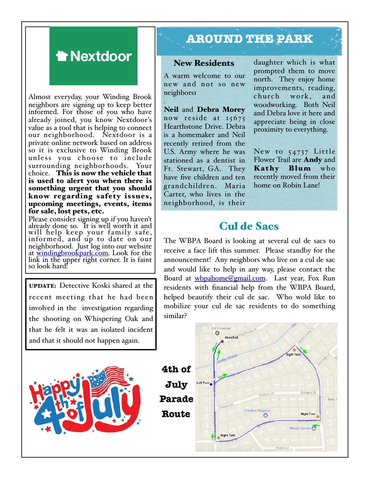## **Thextdoor**

Almost everyday, your Winding Brook neighbors are signing up to keep better informed. For those of you who have already joined, you know Nextdoor's value as a tool that is helping to connect our neighborhood. Nextdoor is a private online network based on address so it is exclusive to Winding Brook unless you choose to include surrounding neighborhoods. Your choice. This is now the vehicle that is used to alert you when there is something urgent that you should know regarding safety issues, upcoming meetings, events, items for sale, lost pets, etc.

Please consider signing up if you haven't already done so. It is well worth it and will help keep your family safe, informed, and up to date on our neighborhood. Just log into our website at windingbrookpark.com. Look for the link in the upper right corner. It is faint so look hard!

UPDATE: Detective Koski shared at the recent meeting that he had been involved in the investigation regarding the shooting on Whispering Oak and that he felt it was an isolated incident and that it should not happen again.



## **AROUND THE PARK**

### New Residents

A warm welcome to our new and not so new neighbors1

. Neil and Debra Morey now reside at 15675 Hearthstone Drive. Debra is a homemaker and Neil recently retired from the U.S. Army where he was stationed as a dentist in Ft. Stewart, GA. They have five children and ten grandchildren. Maria Carter, who lives in the neighborhood, is their

daughter which is what prompted them to move north. They enjoy home improvements, reading, church work, and woodworking. Both Neil and Debra love it here and appreciate being in close proximity to everything.

New to  $54737$  Little Flower Trail are Andy and Kathy Blum who recently moved from their home on Robin Lane!

### Cul de Sacs

The WBPA Board is looking at several cul de sacs to receive a face lift this summer. Please standby for the announcement! Any neighbors who live on a cul de sac and would like to help in any way, please contact the Board at whpahome@gmail.com. Last year, Fox Run residents with financial help from the WBPA Board, helped beautify their cul de sac. Who wold like to mobilize your cul de sac residents to do something similar?

**4th of July Parade Route**

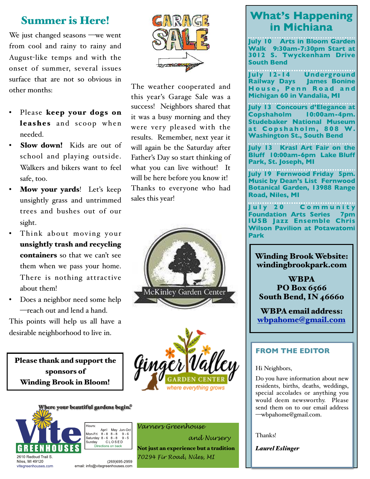## Summer is Here!

We just changed seasons —we went from cool and rainy to rainy and August-like temps and with the onset of summer, several issues surface that are not so obvious in other months:

- Please keep your dogs on leashes and scoop when needed.
- Slow down! Kids are out of school and playing outside. Walkers and bikers want to feel safe, too.
- Mow your yards! Let's keep unsightly grass and untrimmed trees and bushes out of our sight.
- Think about moving your unsightly trash and recycling containers so that we can't see them when we pass your home. There is nothing attractive about them!
- Does a neighbor need some help —reach out and lend a hand.

This points will help us all have a desirable neighborhood to live in.

Please thank and support the sponsors of Winding Brook in Bloom!



vitegreenhouses.com

Hours: April May Jun-Oct Mon-Fri 8-8 8-8 9-6<br>Saturday 8-6 8-8 9-5 Sunday<br>
CLOSED<br>
Directions on back CLOSED

(269)695-2959 email: info@vitegreenhouses.com



The weather cooperated and this year's Garage Sale was a success! Neighbors shared that it was a busy morning and they were very pleased with the results. Remember, next year it will again be the Saturday after Father's Day so start thinking of what you can live without! It will be here before you know it! Thanks to everyone who had sales this year!





### *Varners Greenhouse*

 *and Nursery*  Not just an experience but a tradition *70294 Fir Road, Niles, MI* 

## **What's Happening in Michiana**

**July 10 Arts in Bloom Garden Walk 9:30am-7:30pm Start at 3012 S. Twyckenham Drive South Bend**

**July 12-14 Underground Railway Days James Bonine House, Penn Road and Michigan 60 in Vandalia, MI** 

**July 13 Concours d'Elegance at Copshaholm 10:00am-4pm. Studebaker National Museum a t C o p s h a h o l m , 8 0 8 W. Washington St., South Bend**

**July 13 Krasl Art Fair on the Bluff 10:00am-6pm Lake Bluff Park, St. Joseph, MI** 

**July 19 Fernwood Friday 5pm. Music by Dean's List Fernwood Botanical Garden, 13988 Range Road, Niles, MI** 

**J u l y 2 0 C o m m u n i t y Foundation Arts Series 7pm IUSB Jazz Ensemble Ch Wilson Pavilion at Potawatomi Park**

Winding Brook Website: windingbrookpark.com

**WBPA** PO Box 6566 South Bend, IN 46660

WBPA email address: wbpahome@gmail.com

### **FROM THE EDITOR**

#### Hi Neighbors,

Do you have information about new residents, births, deaths, weddings, special accolades or anything you would deem newsworthy. Please send them on to our email address —wbpahome@gmail.com.

Thanks!

*Laurel Eslinger*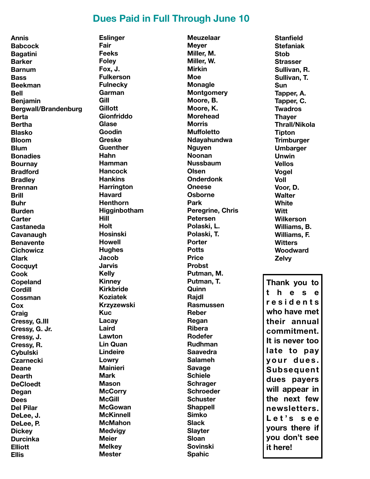### **Dues Paid in Full Through June 10**

**Annis Babcock Bagatini Barker Barnum Bass Beekman Bell Benjamin Bergwall/Brandenburg Berta Bertha Blasko Bloom Blum Bonadies Bournay Bradford Bradley Brennan Brill Buhr Burden Carter Castaneda Cavanaugh Benavente Cichowicz Clark Cocquyt Cook Copeland Cordill Cossman Cox Craig Cressy, G.III Cressy, G. Jr. Cressy, J. Cressy, R. Cybulski Czarnecki Deane Dearth DeCloedt Degan Dees Del Pilar DeLee, J. DeLee, P. Dickey Durcinka Elliott Ellis** 

**Eslinger Fair Feeks Foley Fox, J. Fulkerson Fulnecky Garman Gill Gillott Gionfriddo Glase Goodin Greske Guenther Hahn Hamman Hancock Hankins Harrington Havard Henthorn Higginbotham Hill Holt Hosinski Howell Hughes Jacob Jarvis Kelly Kinney Kirkbride Koziatek Krzyzewski Kuc Lacay Laird Lawton Lin Quan Lindeire Lowry Mainieri Mark Mason McCorry McGill McGowan McKinnell McMahon Medvigy Meier Melkey Mester** 

**Meuzelaar Meyer Miller, M. Miller, W. Mirkin Moe Monagle Montgomery Moore, B. Moore, K. Morehead Morris Muffoletto Ndayahundwa Nguyen Noonan Nussbaum Olsen Onderdonk Oneese Osborne Park Peregrine, Chris Petersen Polaski, L. Polaski, T. Porter Potts Price Probst Putman, M. Putman, T. Quinn Rajdl Rasmussen Reber Regan Ribera Rodefer Rudhman Saavedra Salameh Savage Schiele Schrager Schroeder Schuster Shappell Simko Slack Slayter Sloan Sovinski Spahic** 

**Stanfield Stefaniak Stob Strasser Sullivan, R. Sullivan, T. Sun Tapper, A. Tapper, C. Twadros Thayer Thrall/Nikola Tipton Trimburger Umbarger Unwin Vellos Vogel Voll Voor, D. Walter White Witt Wilkerson Williams, B. Williams, F. Witters Woodward Zelvy Thank you to t h e s e r e s i d e n t s who have met their annual commitment. It is never too late to pay y o u r d u e s . Subsequent dues payers will appear in the next few newsletters. L e t ' s s e e yours there if you don't see it here!**